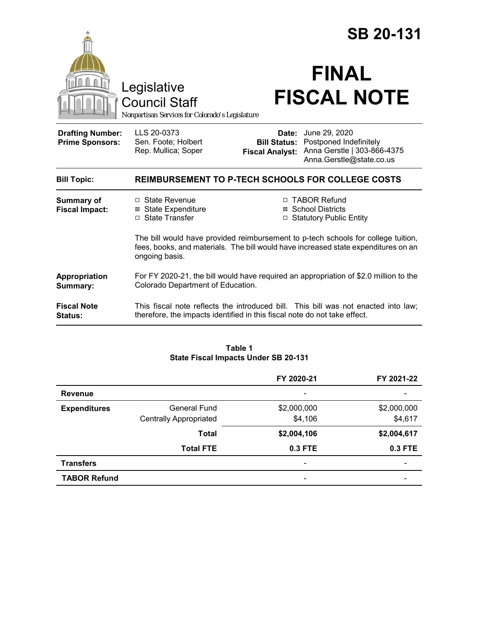|                                                                                        |                                                                                                                                                                                           | <b>SB 20-131</b>                   |                                                                                                                        |  |
|----------------------------------------------------------------------------------------|-------------------------------------------------------------------------------------------------------------------------------------------------------------------------------------------|------------------------------------|------------------------------------------------------------------------------------------------------------------------|--|
| Legislative<br><b>Council Staff</b><br>Nonpartisan Services for Colorado's Legislature |                                                                                                                                                                                           | <b>FINAL</b><br><b>FISCAL NOTE</b> |                                                                                                                        |  |
| <b>Drafting Number:</b><br><b>Prime Sponsors:</b>                                      | LLS 20-0373<br>Sen. Foote; Holbert<br>Rep. Mullica; Soper                                                                                                                                 | Date:<br><b>Fiscal Analyst:</b>    | June 29, 2020<br><b>Bill Status: Postponed Indefinitely</b><br>Anna Gerstle   303-866-4375<br>Anna.Gerstle@state.co.us |  |
| <b>Bill Topic:</b>                                                                     | <b>REIMBURSEMENT TO P-TECH SCHOOLS FOR COLLEGE COSTS</b>                                                                                                                                  |                                    |                                                                                                                        |  |
| <b>Summary of</b><br><b>Fiscal Impact:</b>                                             | $\Box$ State Revenue<br><b>⊠ State Expenditure</b><br>□ State Transfer                                                                                                                    |                                    | □ TABOR Refund<br>⊠ School Districts<br>□ Statutory Public Entity                                                      |  |
|                                                                                        | The bill would have provided reimbursement to p-tech schools for college tuition,<br>fees, books, and materials. The bill would have increased state expenditures on an<br>ongoing basis. |                                    |                                                                                                                        |  |
| Appropriation<br>Summary:                                                              | For FY 2020-21, the bill would have required an appropriation of \$2.0 million to the<br>Colorado Department of Education.                                                                |                                    |                                                                                                                        |  |
| <b>Fiscal Note</b><br>Status:                                                          | This fiscal note reflects the introduced bill. This bill was not enacted into law;<br>therefore, the impacts identified in this fiscal note do not take effect.                           |                                    |                                                                                                                        |  |

#### **Table 1 State Fiscal Impacts Under SB 20-131**

|                     |                               | FY 2020-21                   | FY 2021-22               |
|---------------------|-------------------------------|------------------------------|--------------------------|
| <b>Revenue</b>      |                               | $\overline{\phantom{a}}$     |                          |
| <b>Expenditures</b> | <b>General Fund</b>           | \$2,000,000                  | \$2,000,000              |
|                     | <b>Centrally Appropriated</b> | \$4,106                      | \$4,617                  |
|                     | <b>Total</b>                  | \$2,004,106                  | \$2,004,617              |
|                     | <b>Total FTE</b>              | 0.3 FTE                      | 0.3 FTE                  |
| <b>Transfers</b>    |                               | $\qquad \qquad \blacksquare$ | $\overline{\phantom{0}}$ |
| <b>TABOR Refund</b> |                               | $\overline{\phantom{0}}$     |                          |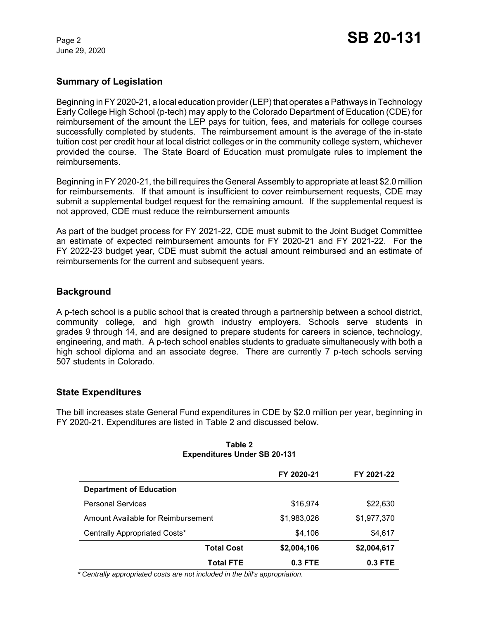June 29, 2020

## **Summary of Legislation**

Beginning in FY 2020-21, a local education provider (LEP) that operates a Pathways in Technology Early College High School (p-tech) may apply to the Colorado Department of Education (CDE) for reimbursement of the amount the LEP pays for tuition, fees, and materials for college courses successfully completed by students. The reimbursement amount is the average of the in-state tuition cost per credit hour at local district colleges or in the community college system, whichever provided the course. The State Board of Education must promulgate rules to implement the reimbursements.

Beginning in FY 2020-21, the bill requires the General Assembly to appropriate at least \$2.0 million for reimbursements. If that amount is insufficient to cover reimbursement requests, CDE may submit a supplemental budget request for the remaining amount. If the supplemental request is not approved, CDE must reduce the reimbursement amounts

As part of the budget process for FY 2021-22, CDE must submit to the Joint Budget Committee an estimate of expected reimbursement amounts for FY 2020-21 and FY 2021-22. For the FY 2022-23 budget year, CDE must submit the actual amount reimbursed and an estimate of reimbursements for the current and subsequent years.

# **Background**

A p-tech school is a public school that is created through a partnership between a school district, community college, and high growth industry employers. Schools serve students in grades 9 through 14, and are designed to prepare students for careers in science, technology, engineering, and math. A p-tech school enables students to graduate simultaneously with both a high school diploma and an associate degree. There are currently 7 p-tech schools serving 507 students in Colorado.

## **State Expenditures**

The bill increases state General Fund expenditures in CDE by \$2.0 million per year, beginning in FY 2020-21. Expenditures are listed in Table 2 and discussed below.

|                                    | FY 2020-21  | FY 2021-22  |
|------------------------------------|-------------|-------------|
| <b>Department of Education</b>     |             |             |
| <b>Personal Services</b>           | \$16,974    | \$22,630    |
| Amount Available for Reimbursement | \$1,983,026 | \$1,977,370 |
| Centrally Appropriated Costs*      | \$4,106     | \$4,617     |
| <b>Total Cost</b>                  | \$2,004,106 | \$2,004,617 |
| <b>Total FTE</b>                   | 0.3 FTE     | 0.3 FTE     |

#### **Table 2 Expenditures Under SB 20-131**

 *\* Centrally appropriated costs are not included in the bill's appropriation.*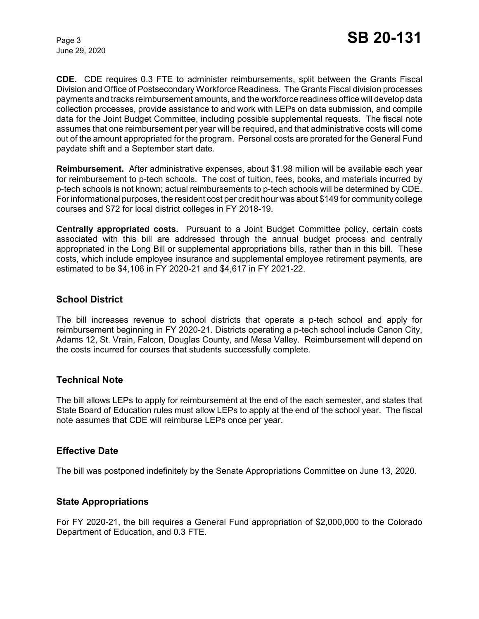June 29, 2020

**CDE.** CDE requires 0.3 FTE to administer reimbursements, split between the Grants Fiscal Division and Office of Postsecondary Workforce Readiness. The Grants Fiscal division processes payments and tracks reimbursement amounts, and the workforce readiness office will develop data collection processes, provide assistance to and work with LEPs on data submission, and compile data for the Joint Budget Committee, including possible supplemental requests. The fiscal note assumes that one reimbursement per year will be required, and that administrative costs will come out of the amount appropriated for the program. Personal costs are prorated for the General Fund paydate shift and a September start date.

**Reimbursement.** After administrative expenses, about \$1.98 million will be available each year for reimbursement to p-tech schools. The cost of tuition, fees, books, and materials incurred by p-tech schools is not known; actual reimbursements to p-tech schools will be determined by CDE. For informational purposes, the resident cost per credit hour was about \$149 for community college courses and \$72 for local district colleges in FY 2018-19.

**Centrally appropriated costs.** Pursuant to a Joint Budget Committee policy, certain costs associated with this bill are addressed through the annual budget process and centrally appropriated in the Long Bill or supplemental appropriations bills, rather than in this bill. These costs, which include employee insurance and supplemental employee retirement payments, are estimated to be \$4,106 in FY 2020-21 and \$4,617 in FY 2021-22.

## **School District**

The bill increases revenue to school districts that operate a p-tech school and apply for reimbursement beginning in FY 2020-21. Districts operating a p-tech school include Canon City, Adams 12, St. Vrain, Falcon, Douglas County, and Mesa Valley. Reimbursement will depend on the costs incurred for courses that students successfully complete.

### **Technical Note**

The bill allows LEPs to apply for reimbursement at the end of the each semester, and states that State Board of Education rules must allow LEPs to apply at the end of the school year. The fiscal note assumes that CDE will reimburse LEPs once per year.

### **Effective Date**

The bill was postponed indefinitely by the Senate Appropriations Committee on June 13, 2020.

### **State Appropriations**

For FY 2020-21, the bill requires a General Fund appropriation of \$2,000,000 to the Colorado Department of Education, and 0.3 FTE.